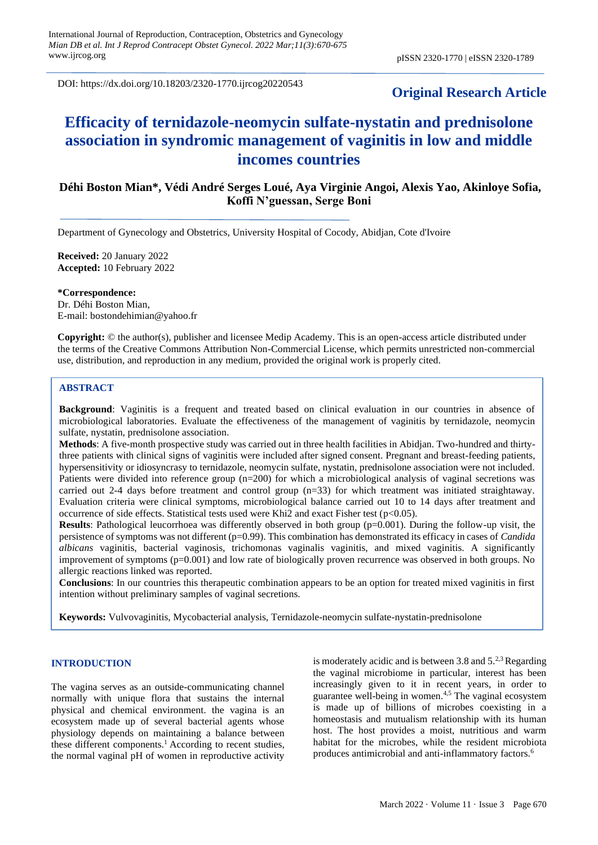DOI: https://dx.doi.org/10.18203/2320-1770.ijrcog20220543

# **Original Research Article**

# **Efficacity of ternidazole-neomycin sulfate-nystatin and prednisolone association in syndromic management of vaginitis in low and middle incomes countries**

# **Déhi Boston Mian\*, Védi André Serges Loué, Aya Virginie Angoi, Alexis Yao, Akinloye Sofia, Koffi N'guessan, Serge Boni**

Department of Gynecology and Obstetrics, University Hospital of Cocody, Abidjan, Cote d'Ivoire

**Received:** 20 January 2022 **Accepted:** 10 February 2022

**\*Correspondence:** Dr. Déhi Boston Mian, E-mail: bostondehimian@yahoo.fr

**Copyright:** © the author(s), publisher and licensee Medip Academy. This is an open-access article distributed under the terms of the Creative Commons Attribution Non-Commercial License, which permits unrestricted non-commercial use, distribution, and reproduction in any medium, provided the original work is properly cited.

### **ABSTRACT**

**Background**: Vaginitis is a frequent and treated based on clinical evaluation in our countries in absence of microbiological laboratories. Evaluate the effectiveness of the management of vaginitis by ternidazole, neomycin sulfate, nystatin, prednisolone association.

**Methods**: A five-month prospective study was carried out in three health facilities in Abidjan. Two-hundred and thirtythree patients with clinical signs of vaginitis were included after signed consent. Pregnant and breast-feeding patients, hypersensitivity or idiosyncrasy to ternidazole, neomycin sulfate, nystatin, prednisolone association were not included. Patients were divided into reference group (n=200) for which a microbiological analysis of vaginal secretions was carried out 2-4 days before treatment and control group (n=33) for which treatment was initiated straightaway. Evaluation criteria were clinical symptoms, microbiological balance carried out 10 to 14 days after treatment and occurrence of side effects. Statistical tests used were Khi2 and exact Fisher test ( $p<0.05$ ).

**Results**: Pathological leucorrhoea was differently observed in both group (p=0.001). During the follow-up visit, the persistence of symptoms was not different (p=0.99). This combination has demonstrated its efficacy in cases of *Candida albicans* vaginitis, bacterial vaginosis, trichomonas vaginalis vaginitis, and mixed vaginitis. A significantly improvement of symptoms (p=0.001) and low rate of biologically proven recurrence was observed in both groups. No allergic reactions linked was reported.

**Conclusions**: In our countries this therapeutic combination appears to be an option for treated mixed vaginitis in first intention without preliminary samples of vaginal secretions.

**Keywords:** Vulvovaginitis, Mycobacterial analysis, Ternidazole-neomycin sulfate-nystatin-prednisolone

#### **INTRODUCTION**

The vagina serves as an outside-communicating channel normally with unique flora that sustains the internal physical and chemical environment. the vagina is an ecosystem made up of several bacterial agents whose physiology depends on maintaining a balance between these different components.<sup>1</sup> According to recent studies, the normal vaginal pH of women in reproductive activity is moderately acidic and is between 3.8 and  $5.^{2,3}$  Regarding the vaginal microbiome in particular, interest has been increasingly given to it in recent years, in order to guarantee well-being in women.4,5 The vaginal ecosystem is made up of billions of microbes coexisting in a homeostasis and mutualism relationship with its human host. The host provides a moist, nutritious and warm habitat for the microbes, while the resident microbiota produces antimicrobial and anti-inflammatory factors.<sup>6</sup>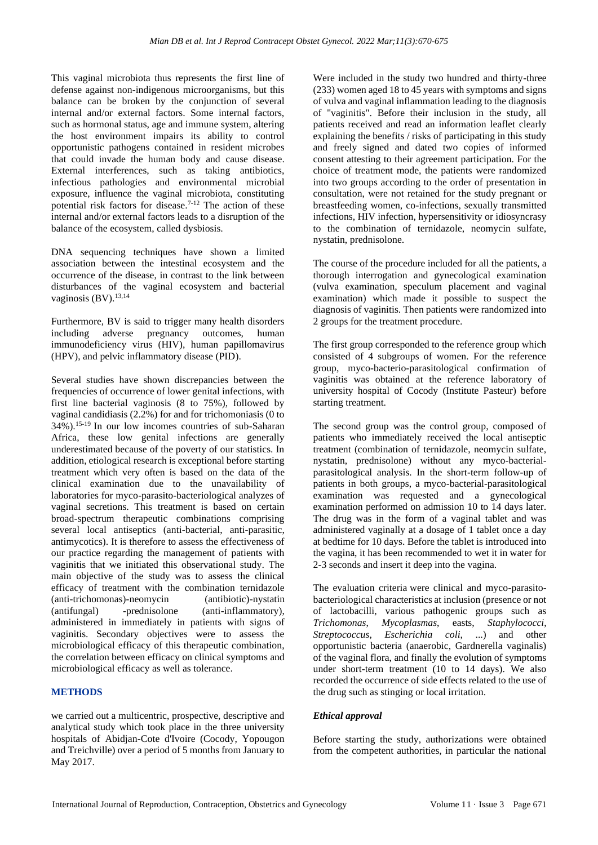This vaginal microbiota thus represents the first line of defense against non-indigenous microorganisms, but this balance can be broken by the conjunction of several internal and/or external factors. Some internal factors, such as hormonal status, age and immune system, altering the host environment impairs its ability to control opportunistic pathogens contained in resident microbes that could invade the human body and cause disease. External interferences, such as taking antibiotics, infectious pathologies and environmental microbial exposure, influence the vaginal microbiota, constituting potential risk factors for disease.<sup> $7-12$ </sup> The action of these internal and/or external factors leads to a disruption of the balance of the ecosystem, called dysbiosis.

DNA sequencing techniques have shown a limited association between the intestinal ecosystem and the occurrence of the disease, in contrast to the link between disturbances of the vaginal ecosystem and bacterial vaginosis (BV).<sup>13,14</sup>

Furthermore, BV is said to trigger many health disorders including adverse pregnancy outcomes, human immunodeficiency virus (HIV), human papillomavirus (HPV), and pelvic inflammatory disease (PID).

Several studies have shown discrepancies between the frequencies of occurrence of lower genital infections, with first line bacterial vaginosis (8 to 75%), followed by vaginal candidiasis (2.2%) for and for trichomoniasis (0 to 34%).15-19 In our low incomes countries of sub-Saharan Africa, these low genital infections are generally underestimated because of the poverty of our statistics. In addition, etiological research is exceptional before starting treatment which very often is based on the data of the clinical examination due to the unavailability of laboratories for myco-parasito-bacteriological analyzes of vaginal secretions. This treatment is based on certain broad-spectrum therapeutic combinations comprising several local antiseptics (anti-bacterial, anti-parasitic, antimycotics). It is therefore to assess the effectiveness of our practice regarding the management of patients with vaginitis that we initiated this observational study. The main objective of the study was to assess the clinical efficacy of treatment with the combination ternidazole (anti-trichomonas)-neomycin (antibiotic)-nystatin (antifungal) -prednisolone (anti-inflammatory), administered in immediately in patients with signs of vaginitis. Secondary objectives were to assess the microbiological efficacy of this therapeutic combination, the correlation between efficacy on clinical symptoms and microbiological efficacy as well as tolerance.

### **METHODS**

we carried out a multicentric, prospective, descriptive and analytical study which took place in the three university hospitals of Abidjan-Cote d'Ivoire (Cocody, Yopougon and Treichville) over a period of 5 months from January to May 2017.

Were included in the study two hundred and thirty-three (233) women aged 18 to 45 years with symptoms and signs of vulva and vaginal inflammation leading to the diagnosis of "vaginitis". Before their inclusion in the study, all patients received and read an information leaflet clearly explaining the benefits / risks of participating in this study and freely signed and dated two copies of informed consent attesting to their agreement participation. For the choice of treatment mode, the patients were randomized into two groups according to the order of presentation in consultation, were not retained for the study pregnant or breastfeeding women, co-infections, sexually transmitted infections, HIV infection, hypersensitivity or idiosyncrasy to the combination of ternidazole, neomycin sulfate, nystatin, prednisolone.

The course of the procedure included for all the patients, a thorough interrogation and gynecological examination (vulva examination, speculum placement and vaginal examination) which made it possible to suspect the diagnosis of vaginitis. Then patients were randomized into 2 groups for the treatment procedure.

The first group corresponded to the reference group which consisted of 4 subgroups of women. For the reference group, myco-bacterio-parasitological confirmation of vaginitis was obtained at the reference laboratory of university hospital of Cocody (Institute Pasteur) before starting treatment.

The second group was the control group, composed of patients who immediately received the local antiseptic treatment (combination of ternidazole, neomycin sulfate, nystatin, prednisolone) without any myco-bacterialparasitological analysis. In the short-term follow-up of patients in both groups, a myco-bacterial-parasitological examination was requested and a gynecological examination performed on admission 10 to 14 days later. The drug was in the form of a vaginal tablet and was administered vaginally at a dosage of 1 tablet once a day at bedtime for 10 days. Before the tablet is introduced into the vagina, it has been recommended to wet it in water for 2-3 seconds and insert it deep into the vagina.

The evaluation criteria were clinical and myco-parasitobacteriological characteristics at inclusion (presence or not of lactobacilli, various pathogenic groups such as *Trichomonas*, *Mycoplasmas*, easts, *Staphylococci*, *Streptococcus*, *Escherichia coli*, ...) and other opportunistic bacteria (anaerobic, Gardnerella vaginalis) of the vaginal flora, and finally the evolution of symptoms under short-term treatment (10 to 14 days). We also recorded the occurrence of side effects related to the use of the drug such as stinging or local irritation.

### *Ethical approval*

Before starting the study, authorizations were obtained from the competent authorities, in particular the national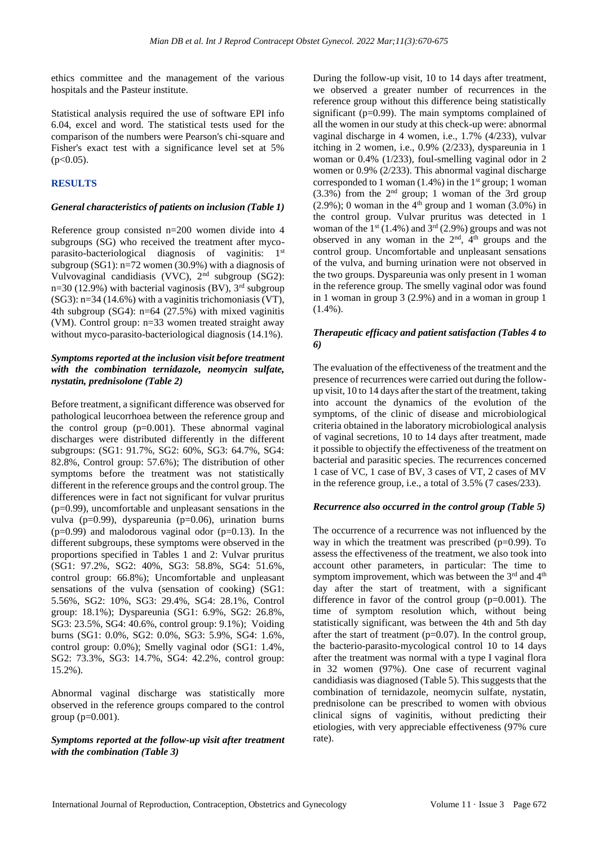ethics committee and the management of the various hospitals and the Pasteur institute.

Statistical analysis required the use of software EPI info 6.04, excel and word. The statistical tests used for the comparison of the numbers were Pearson's chi-square and Fisher's exact test with a significance level set at 5%  $(p<0.05)$ .

# **RESULTS**

#### *General characteristics of patients on inclusion (Table 1)*

Reference group consisted n=200 women divide into 4 subgroups (SG) who received the treatment after mycoparasito-bacteriological diagnosis of vaginitis: 1<sup>st</sup> subgroup (SG1): n=72 women (30.9%) with a diagnosis of Vulvovaginal candidiasis (VVC), 2nd subgroup (SG2): n=30 (12.9%) with bacterial vaginosis (BV),  $3<sup>rd</sup>$  subgroup (SG3): n=34 (14.6%) with a vaginitis trichomoniasis (VT), 4th subgroup (SG4): n=64 (27.5%) with mixed vaginitis (VM). Control group: n=33 women treated straight away without myco-parasito-bacteriological diagnosis  $(14.1\%)$ .

## *Symptoms reported at the inclusion visit before treatment with the combination ternidazole, neomycin sulfate, nystatin, prednisolone (Table 2)*

Before treatment, a significant difference was observed for pathological leucorrhoea between the reference group and the control group  $(p=0.001)$ . These abnormal vaginal discharges were distributed differently in the different subgroups: (SG1: 91.7%, SG2: 60%, SG3: 64.7%, SG4: 82.8%, Control group: 57.6%); The distribution of other symptoms before the treatment was not statistically different in the reference groups and the control group. The differences were in fact not significant for vulvar pruritus (p=0.99), uncomfortable and unpleasant sensations in the vulva (p=0.99), dyspareunia (p=0.06), urination burns  $(p=0.99)$  and malodorous vaginal odor  $(p=0.13)$ . In the different subgroups, these symptoms were observed in the proportions specified in Tables 1 and 2: Vulvar pruritus (SG1: 97.2%, SG2: 40%, SG3: 58.8%, SG4: 51.6%, control group: 66.8%); Uncomfortable and unpleasant sensations of the vulva (sensation of cooking) (SG1: 5.56%, SG2: 10%, SG3: 29.4%, SG4: 28.1%, Control group: 18.1%); Dyspareunia (SG1: 6.9%, SG2: 26.8%, SG3: 23.5%, SG4: 40.6%, control group: 9.1%); Voiding burns (SG1: 0.0%, SG2: 0.0%, SG3: 5.9%, SG4: 1.6%, control group: 0.0%); Smelly vaginal odor (SG1: 1.4%, SG2: 73.3%, SG3: 14.7%, SG4: 42.2%, control group: 15.2%).

Abnormal vaginal discharge was statistically more observed in the reference groups compared to the control group ( $p=0.001$ ).

### *Symptoms reported at the follow-up visit after treatment with the combination (Table 3)*

During the follow-up visit, 10 to 14 days after treatment, we observed a greater number of recurrences in the reference group without this difference being statistically significant (p=0.99). The main symptoms complained of all the women in our study at this check-up were: abnormal vaginal discharge in 4 women, i.e., 1.7% (4/233), vulvar itching in 2 women, i.e., 0.9% (2/233), dyspareunia in 1 woman or 0.4% (1/233), foul-smelling vaginal odor in 2 women or 0.9% (2/233). This abnormal vaginal discharge corresponded to 1 woman  $(1.4\%)$  in the 1<sup>st</sup> group; 1 woman  $(3.3\%)$  from the  $2<sup>nd</sup>$  group; 1 woman of the 3rd group  $(2.9\%)$ ; 0 woman in the 4<sup>th</sup> group and 1 woman  $(3.0\%)$  in the control group. Vulvar pruritus was detected in 1 woman of the  $1<sup>st</sup>$  (1.4%) and  $3<sup>rd</sup>$  (2.9%) groups and was not observed in any woman in the  $2<sup>nd</sup>$ ,  $4<sup>th</sup>$  groups and the control group. Uncomfortable and unpleasant sensations of the vulva, and burning urination were not observed in the two groups. Dyspareunia was only present in 1 woman in the reference group. The smelly vaginal odor was found in 1 woman in group 3 (2.9%) and in a woman in group 1  $(1.4\%)$ .

### *Therapeutic efficacy and patient satisfaction (Tables 4 to 6)*

The evaluation of the effectiveness of the treatment and the presence of recurrences were carried out during the followup visit, 10 to 14 days after the start of the treatment, taking into account the dynamics of the evolution of the symptoms, of the clinic of disease and microbiological criteria obtained in the laboratory microbiological analysis of vaginal secretions, 10 to 14 days after treatment, made it possible to objectify the effectiveness of the treatment on bacterial and parasitic species. The recurrences concerned 1 case of VC, 1 case of BV, 3 cases of VT, 2 cases of MV in the reference group, i.e., a total of 3.5% (7 cases/233).

### *Recurrence also occurred in the control group (Table 5)*

The occurrence of a recurrence was not influenced by the way in which the treatment was prescribed  $(p=0.99)$ . To assess the effectiveness of the treatment, we also took into account other parameters, in particular: The time to symptom improvement, which was between the  $3<sup>rd</sup>$  and  $4<sup>th</sup>$ day after the start of treatment, with a significant difference in favor of the control group  $(p=0.001)$ . The time of symptom resolution which, without being statistically significant, was between the 4th and 5th day after the start of treatment  $(p=0.07)$ . In the control group, the bacterio-parasito-mycological control 10 to 14 days after the treatment was normal with a type I vaginal flora in 32 women (97%). One case of recurrent vaginal candidiasis was diagnosed (Table 5). This suggests that the combination of ternidazole, neomycin sulfate, nystatin, prednisolone can be prescribed to women with obvious clinical signs of vaginitis, without predicting their etiologies, with very appreciable effectiveness (97% cure rate).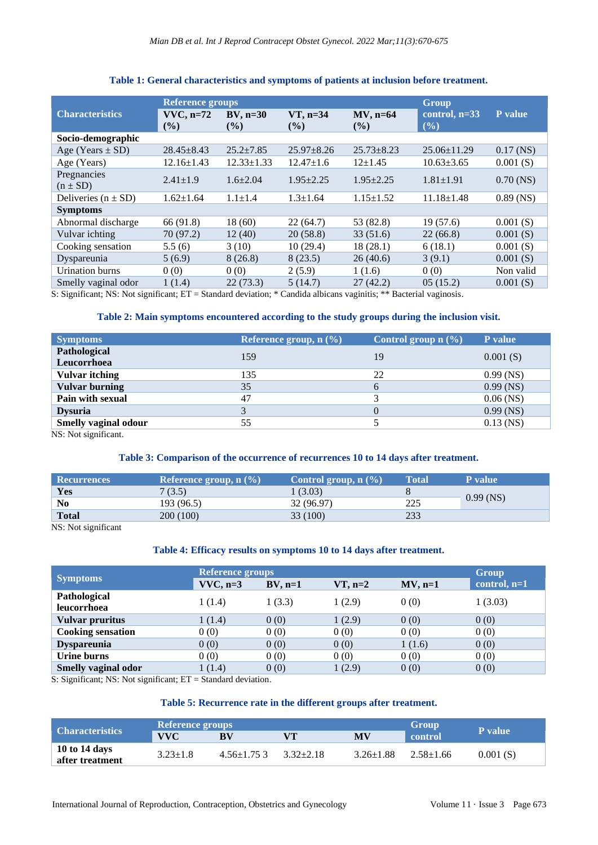|                             | <b>Reference groups</b> |                              | <b>Group</b>          |                       |                           |             |
|-----------------------------|-------------------------|------------------------------|-----------------------|-----------------------|---------------------------|-------------|
| <b>Characteristics</b>      | $VVC, n=72$<br>$($ %)   | $BV$ , n=30<br>$\frac{9}{6}$ | $VT$ , n=34<br>$($ %) | $MV$ , n=64<br>$($ %) | control, $n=33$<br>$($ %) | P value     |
| Socio-demographic           |                         |                              |                       |                       |                           |             |
| Age (Years $\pm$ SD)        | $28.45 \pm 8.43$        | $25.2 + 7.85$                | $25.97 \pm 8.26$      | $25.73 \pm 8.23$      | $25.06 \pm 11.29$         | $0.17$ (NS) |
| Age (Years)                 | $12.16 \pm 1.43$        | $12.33 \pm 1.33$             | $12.47 \pm 1.6$       | $12+1.45$             | $10.63 \pm 3.65$          | 0.001(S)    |
| Pregnancies<br>$(n \pm SD)$ | $2.41 \pm 1.9$          | $1.6 + 2.04$                 | $1.95 \pm 2.25$       | $1.95 \pm 2.25$       | $1.81 \pm 1.91$           | $0.70$ (NS) |
| Deliveries $(n \pm SD)$     | $1.62 \pm 1.64$         | $1.1 \pm 1.4$                | $1.3 \pm 1.64$        | $1.15 \pm 1.52$       | $11.18 \pm 1.48$          | $0.89$ (NS) |
| <b>Symptoms</b>             |                         |                              |                       |                       |                           |             |
| Abnormal discharge          | 66 (91.8)               | 18 (60)                      | 22(64.7)              | 53 (82.8)             | 19(57.6)                  | 0.001(S)    |
| Vulvar ichting              | 70 (97.2)               | 12(40)                       | 20(58.8)              | 33(51.6)              | 22(66.8)                  | 0.001(S)    |
| Cooking sensation           | 5.5(6)                  | 3(10)                        | 10(29.4)              | 18(28.1)              | 6(18.1)                   | 0.001(S)    |
| Dyspareunia                 | 5(6.9)                  | 8(26.8)                      | 8(23.5)               | 26(40.6)              | 3(9.1)                    | 0.001(S)    |
| <b>Urination</b> burns      | 0(0)                    | 0(0)                         | 2(5.9)                | 1(1.6)                | 0(0)                      | Non valid   |
| Smelly vaginal odor         | 1(1.4)                  | 22(73.3)                     | 5(14.7)               | 27(42.2)              | 05(15.2)                  | 0.001(S)    |

## **Table 1: General characteristics and symptoms of patients at inclusion before treatment.**

S: Significant; NS: Not significant; ET = Standard deviation; \* Candida albicans vaginitis; \*\* Bacterial vaginosis.

## **Table 2: Main symptoms encountered according to the study groups during the inclusion visit.**

| Reference group, $n$ $(\% )$ | Control group $n$ $(\%)$ | <b>P</b> value |
|------------------------------|--------------------------|----------------|
| 159                          | 19                       | 0.001(S)       |
| 135                          | 22                       | $0.99$ (NS)    |
| 35                           | 6                        | $0.99$ (NS)    |
| 47                           |                          | $0.06$ (NS)    |
|                              | $\theta$                 | $0.99$ (NS)    |
| 55                           |                          | $0.13$ (NS)    |
|                              |                          |                |

NS: Not significant.

## **Table 3: Comparison of the occurrence of recurrences 10 to 14 days after treatment.**

| <b>Recurrences</b> | <i><b>Reference group, n</b> (%)</i> | Control group, $n$ $(\%)$ | <b>Total</b> | <b>P</b> value |
|--------------------|--------------------------------------|---------------------------|--------------|----------------|
| Yes                | 7(3.5)                               | 1 (3.03)                  |              |                |
| No                 | 193 (96.5)                           | 32 (96.97)                | 225          | $0.99$ (NS)    |
| <b>Total</b>       | 200 (100)                            | 33 (100)                  | 233          |                |

NS: Not significant

#### **Table 4: Efficacy results on symptoms 10 to 14 days after treatment.**

|                             | <b>Reference groups</b> |            |           |           |              |  |
|-----------------------------|-------------------------|------------|-----------|-----------|--------------|--|
| <b>Symptoms</b>             | $VVC$ , n=3             | $BV$ , n=1 | $VT, n=2$ | $MV, n=1$ | control, n=1 |  |
| Pathological<br>leucorrhoea | 1 (1.4)                 | 1(3.3)     | 1(2.9)    | 0(0)      | 1(3.03)      |  |
| Vulvar pruritus             | 1(1.4)                  | 0(0)       | 1(2.9)    | 0(0)      | 0(0)         |  |
| <b>Cooking sensation</b>    | 0(0)                    | 0(0)       | 0(0)      | 0(0)      | 0(0)         |  |
| <b>Dyspareunia</b>          | 0(0)                    | 0(0)       | 0(0)      | 1(1.6)    | 0(0)         |  |
| Urine burns                 | 0(0)                    | 0(0)       | 0(0)      | 0(0)      | 0(0)         |  |
| Smelly vaginal odor         | 1(1.4)                  | 0(0)       | 1(2.9)    | 0(0)      | 0(0)         |  |

S: Significant; NS: Not significant; ET = Standard deviation.

# **Table 5: Recurrence rate in the different groups after treatment.**

| <b>Characteristics</b>           | <b>Reference groups</b> |                 | Group           | <b>P</b> value  |                 |          |
|----------------------------------|-------------------------|-----------------|-----------------|-----------------|-----------------|----------|
|                                  | <b>VVC</b>              | BV              | VТ              | <b>MV</b>       | control         |          |
| 10 to 14 days<br>after treatment | $3.23 \pm 1.8$          | $4.56 + 1.75$ 3 | $3.32 \pm 2.18$ | $3.26 \pm 1.88$ | $2.58 \pm 1.66$ | 0.001(S) |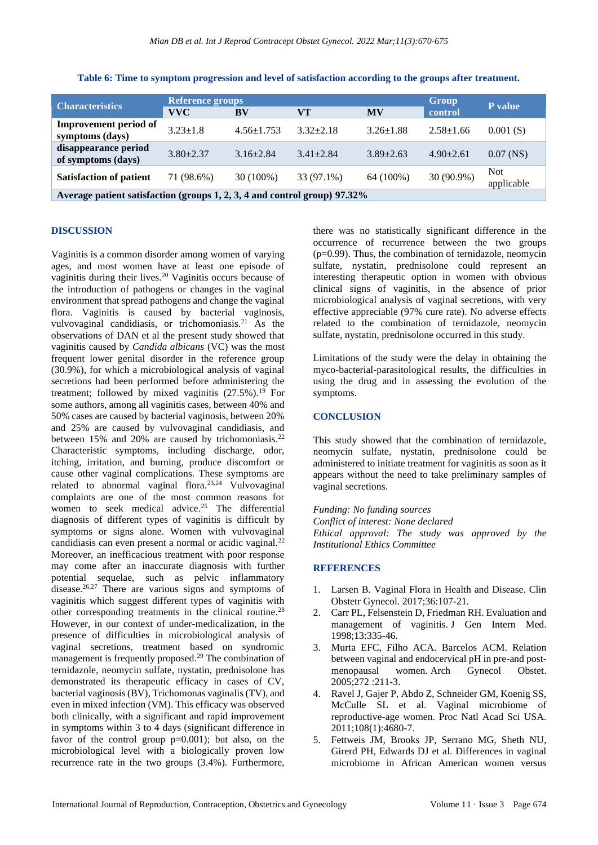| <b>Characteristics</b>                                                    | Reference groups<br><b>VVC</b> | BV               | Group<br>control | P value         |                 |                          |
|---------------------------------------------------------------------------|--------------------------------|------------------|------------------|-----------------|-----------------|--------------------------|
|                                                                           |                                |                  | VТ               | <b>MV</b>       |                 |                          |
| <b>Improvement period of</b><br>symptoms (days)                           | $3.23 \pm 1.8$                 | $4.56 \pm 1.753$ | $3.32 \pm 2.18$  | $3.26 \pm 1.88$ | $2.58 \pm 1.66$ | 0.001(S)                 |
| disappearance period<br>of symptoms (days)                                | $3.80 + 2.37$                  | $3.16 \pm 2.84$  | $3.41 \pm 2.84$  | $3.89 + 2.63$   | $4.90 + 2.61$   | $0.07$ (NS)              |
| <b>Satisfaction of patient</b>                                            | 71 (98.6%)                     | $30(100\%)$      | 33 (97.1%)       | 64 (100%)       | 30 (90.9%)      | <b>Not</b><br>applicable |
| Average patient satisfaction (groups 1, 2, 3, 4 and control group) 97.32% |                                |                  |                  |                 |                 |                          |

**Table 6: Time to symptom progression and level of satisfaction according to the groups after treatment.**

#### **DISCUSSION**

Vaginitis is a common disorder among women of varying ages, and most women have at least one episode of vaginitis during their lives.<sup>20</sup> Vaginitis occurs because of the introduction of pathogens or changes in the vaginal environment that spread pathogens and change the vaginal flora. Vaginitis is caused by bacterial vaginosis, vulvovaginal candidiasis, or trichomoniasis.<sup>21</sup> As the observations of DAN et al the present study showed that vaginitis caused by *Candida albicans* (VC) was the most frequent lower genital disorder in the reference group (30.9%), for which a microbiological analysis of vaginal secretions had been performed before administering the treatment; followed by mixed vaginitis  $(27.5\%)$ .<sup>19</sup> For some authors, among all vaginitis cases, between 40% and 50% cases are caused by bacterial vaginosis, between 20% and 25% are caused by vulvovaginal candidiasis, and between 15% and 20% are caused by trichomoniasis.<sup>22</sup> Characteristic symptoms, including discharge, odor, itching, irritation, and burning, produce discomfort or cause other vaginal complications. These symptoms are related to abnormal vaginal flora.23,24 Vulvovaginal complaints are one of the most common reasons for women to seek medical advice.<sup>25</sup> The differential diagnosis of different types of vaginitis is difficult by symptoms or signs alone. Women with vulvovaginal candidiasis can even present a normal or acidic vaginal.<sup>22</sup> Moreover, an inefficacious treatment with poor response may come after an inaccurate diagnosis with further potential sequelae, such as pelvic inflammatory disease.26,27 There are various signs and symptoms of vaginitis which suggest different types of vaginitis with other corresponding treatments in the clinical routine.<sup>28</sup> However, in our context of under-medicalization, in the presence of difficulties in microbiological analysis of vaginal secretions, treatment based on syndromic management is frequently proposed.<sup>29</sup> The combination of ternidazole, neomycin sulfate, nystatin, prednisolone has demonstrated its therapeutic efficacy in cases of CV, bacterial vaginosis (BV), Trichomonas vaginalis (TV), and even in mixed infection (VM). This efficacy was observed both clinically, with a significant and rapid improvement in symptoms within 3 to 4 days (significant difference in favor of the control group  $p=0.001$ ); but also, on the microbiological level with a biologically proven low recurrence rate in the two groups (3.4%). Furthermore, there was no statistically significant difference in the occurrence of recurrence between the two groups  $(p=0.99)$ . Thus, the combination of ternidazole, neomycin sulfate, nystatin, prednisolone could represent an interesting therapeutic option in women with obvious clinical signs of vaginitis, in the absence of prior microbiological analysis of vaginal secretions, with very effective appreciable (97% cure rate). No adverse effects related to the combination of ternidazole, neomycin sulfate, nystatin, prednisolone occurred in this study.

Limitations of the study were the delay in obtaining the myco-bacterial-parasitological results, the difficulties in using the drug and in assessing the evolution of the symptoms.

### **CONCLUSION**

This study showed that the combination of ternidazole, neomycin sulfate, nystatin, prednisolone could be administered to initiate treatment for vaginitis as soon as it appears without the need to take preliminary samples of vaginal secretions.

*Funding: No funding sources Conflict of interest: None declared Ethical approval: The study was approved by the Institutional Ethics Committee*

#### **REFERENCES**

- 1. Larsen B. Vaginal Flora in Health and Disease. Clin Obstetr Gynecol. 2017;36:107-21.
- 2. Carr PL, Felsenstein D, Friedman RH. Evaluation and management of vaginitis. J Gen Intern Med. 1998;13:335-46.
- 3. Murta EFC, Filho ACA. Barcelos ACM. Relation between vaginal and endocervical pH in pre-and postmenopausal women. Arch Gynecol Obstet. 2005;272 :211-3.
- 4. Ravel J, Gajer P, Abdo Z, Schneider GM, Koenig SS, McCulle SL et al. Vaginal microbiome of reproductive-age women. Proc Natl Acad Sci USA. 2011;108(1):4680-7.
- 5. Fettweis JM, Brooks JP, Serrano MG, Sheth NU, Girerd PH, Edwards DJ et al. Differences in vaginal microbiome in African American women versus